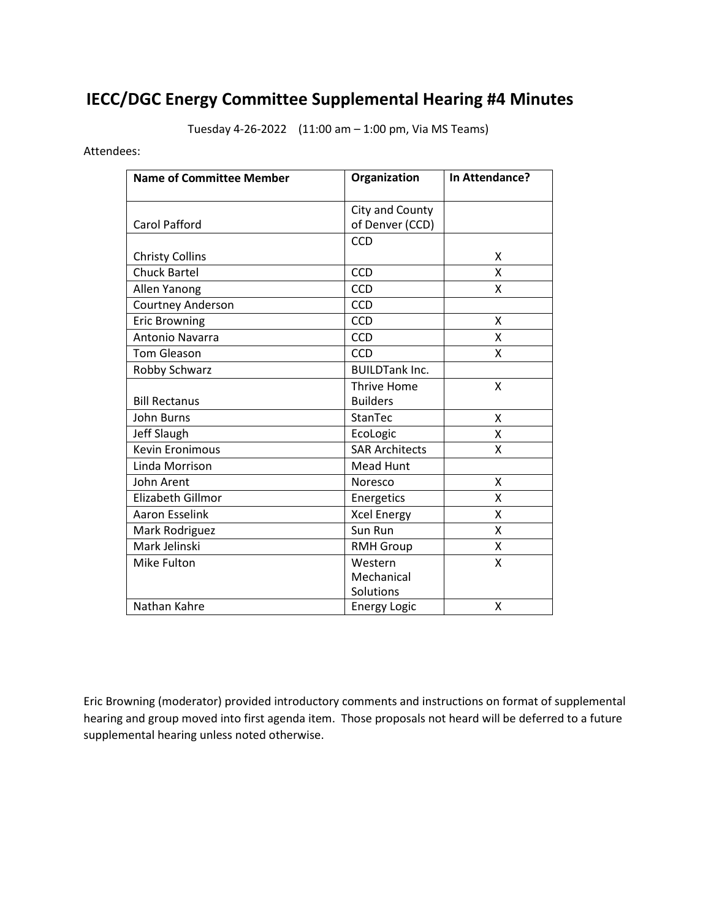# **IECC/DGC Energy Committee Supplemental Hearing #4 Minutes**

Tuesday 4-26-2022 (11:00 am – 1:00 pm, Via MS Teams)

Attendees:

| <b>Name of Committee Member</b> | Organization          | In Attendance? |
|---------------------------------|-----------------------|----------------|
|                                 | City and County       |                |
| <b>Carol Pafford</b>            | of Denver (CCD)       |                |
|                                 | CCD                   |                |
| <b>Christy Collins</b>          |                       | X              |
| <b>Chuck Bartel</b>             | CCD                   | Χ              |
| Allen Yanong                    | CCD                   | X              |
| Courtney Anderson               | CCD                   |                |
| <b>Eric Browning</b>            | CCD                   | X              |
| Antonio Navarra                 | CCD                   | X              |
| <b>Tom Gleason</b>              | CCD                   | Χ              |
| Robby Schwarz                   | <b>BUILDTank Inc.</b> |                |
|                                 | <b>Thrive Home</b>    | X              |
| <b>Bill Rectanus</b>            | <b>Builders</b>       |                |
| <b>John Burns</b>               | StanTec               | X              |
| Jeff Slaugh                     | EcoLogic              | X              |
| <b>Kevin Eronimous</b>          | <b>SAR Architects</b> | Χ              |
| Linda Morrison                  | Mead Hunt             |                |
| John Arent                      | Noresco               | X              |
| Elizabeth Gillmor               | Energetics            | x              |
| <b>Aaron Esselink</b>           | <b>Xcel Energy</b>    | Χ              |
| Mark Rodriguez                  | Sun Run               | Χ              |
| Mark Jelinski                   | <b>RMH Group</b>      | x              |
| Mike Fulton                     | Western               | X              |
|                                 | Mechanical            |                |
|                                 | Solutions             |                |
| Nathan Kahre                    | <b>Energy Logic</b>   | X              |

 Eric Browning (moderator) provided introductory comments and instructions on format of supplemental hearing and group moved into first agenda item. Those proposals not heard will be deferred to a future supplemental hearing unless noted otherwise.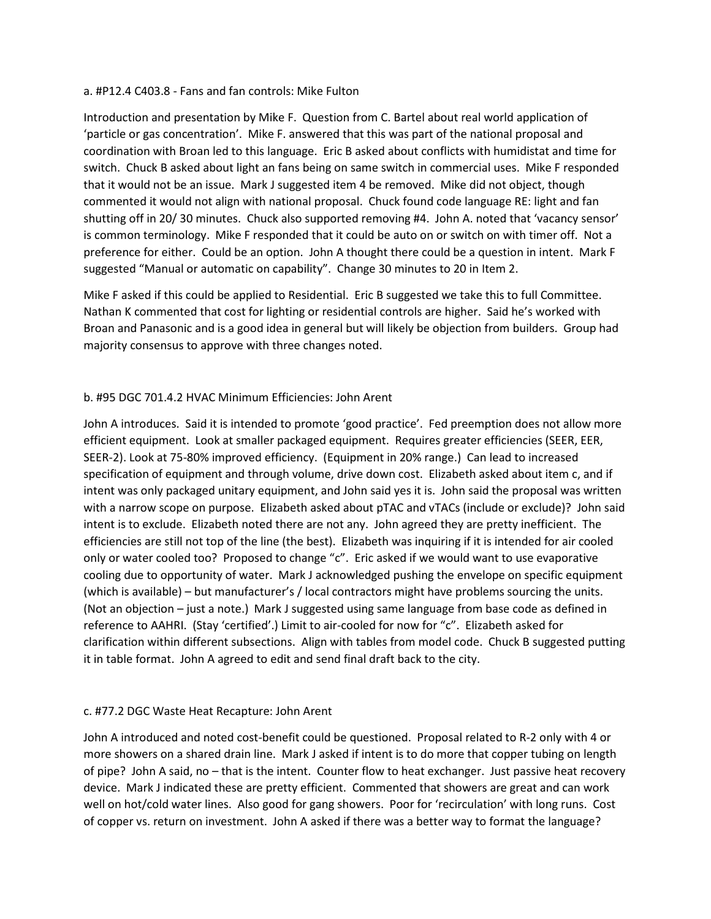#### a. #P12.4 C403.8 - Fans and fan controls: Mike Fulton

 Introduction and presentation by Mike F. Question from C. Bartel about real world application of 'particle or gas concentration'. Mike F. answered that this was part of the national proposal and coordination with Broan led to this language. Eric B asked about conflicts with humidistat and time for switch. Chuck B asked about light an fans being on same switch in commercial uses. Mike F responded that it would not be an issue. Mark J suggested item 4 be removed. Mike did not object, though commented it would not align with national proposal. Chuck found code language RE: light and fan shutting off in 20/ 30 minutes. Chuck also supported removing #4. John A. noted that 'vacancy sensor' is common terminology. Mike F responded that it could be auto on or switch on with timer off. Not a preference for either. Could be an option. John A thought there could be a question in intent. Mark F suggested "Manual or automatic on capability". Change 30 minutes to 20 in Item 2.

 Mike F asked if this could be applied to Residential. Eric B suggested we take this to full Committee. Nathan K commented that cost for lighting or residential controls are higher. Said he's worked with Broan and Panasonic and is a good idea in general but will likely be objection from builders. Group had majority consensus to approve with three changes noted.

## b. #95 DGC 701.4.2 HVAC Minimum Efficiencies: John Arent

 John A introduces. Said it is intended to promote 'good practice'. Fed preemption does not allow more efficient equipment. Look at smaller packaged equipment. Requires greater efficiencies (SEER, EER, SEER-2). Look at 75-80% improved efficiency. (Equipment in 20% range.) Can lead to increased specification of equipment and through volume, drive down cost. Elizabeth asked about item c, and if intent was only packaged unitary equipment, and John said yes it is. John said the proposal was written with a narrow scope on purpose. Elizabeth asked about pTAC and vTACs (include or exclude)? John said intent is to exclude. Elizabeth noted there are not any. John agreed they are pretty inefficient. The efficiencies are still not top of the line (the best). Elizabeth was inquiring if it is intended for air cooled only or water cooled too? Proposed to change "c". Eric asked if we would want to use evaporative cooling due to opportunity of water. Mark J acknowledged pushing the envelope on specific equipment (which is available) – but manufacturer's / local contractors might have problems sourcing the units. (Not an objection – just a note.) Mark J suggested using same language from base code as defined in reference to AAHRI. (Stay 'certified'.) Limit to air-cooled for now for "c". Elizabeth asked for clarification within different subsections. Align with tables from model code. Chuck B suggested putting it in table format. John A agreed to edit and send final draft back to the city.

## c. #77.2 DGC Waste Heat Recapture: John Arent

 John A introduced and noted cost-benefit could be questioned. Proposal related to R-2 only with 4 or more showers on a shared drain line. Mark J asked if intent is to do more that copper tubing on length of pipe? John A said, no – that is the intent. Counter flow to heat exchanger. Just passive heat recovery device. Mark J indicated these are pretty efficient. Commented that showers are great and can work well on hot/cold water lines. Also good for gang showers. Poor for 'recirculation' with long runs. Cost of copper vs. return on investment. John A asked if there was a better way to format the language?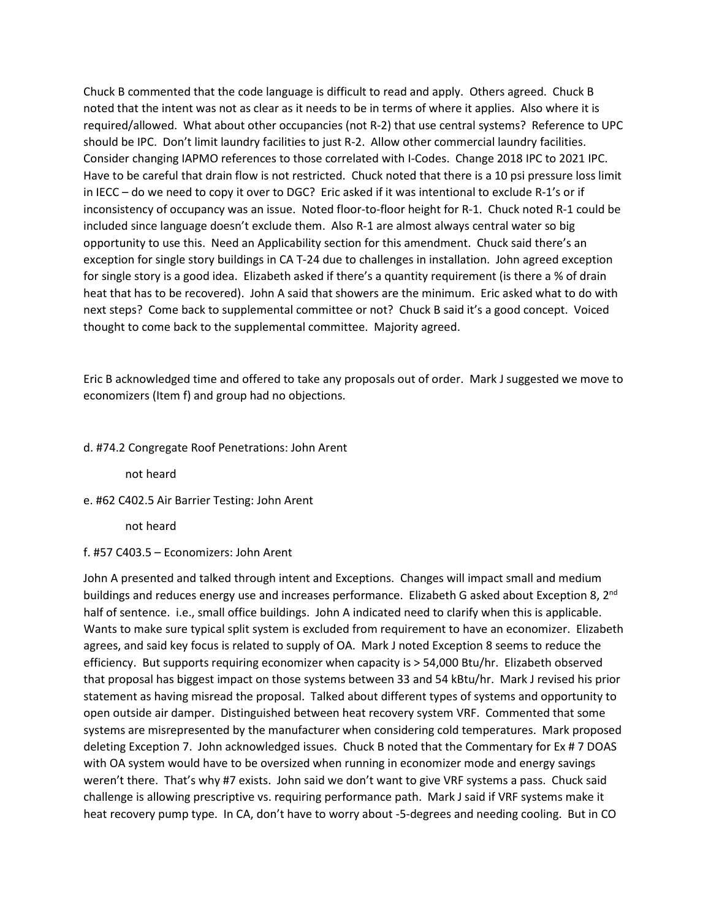Chuck B commented that the code language is difficult to read and apply. Others agreed. Chuck B noted that the intent was not as clear as it needs to be in terms of where it applies. Also where it is required/allowed. What about other occupancies (not R-2) that use central systems? Reference to UPC should be IPC. Don't limit laundry facilities to just R-2. Allow other commercial laundry facilities. Consider changing IAPMO references to those correlated with I-Codes. Change 2018 IPC to 2021 IPC. Have to be careful that drain flow is not restricted. Chuck noted that there is a 10 psi pressure loss limit in IECC – do we need to copy it over to DGC? Eric asked if it was intentional to exclude R-1's or if inconsistency of occupancy was an issue. Noted floor-to-floor height for R-1. Chuck noted R-1 could be included since language doesn't exclude them. Also R-1 are almost always central water so big opportunity to use this. Need an Applicability section for this amendment. Chuck said there's an exception for single story buildings in CA T-24 due to challenges in installation. John agreed exception for single story is a good idea. Elizabeth asked if there's a quantity requirement (is there a % of drain heat that has to be recovered). John A said that showers are the minimum. Eric asked what to do with next steps? Come back to supplemental committee or not? Chuck B said it's a good concept. Voiced thought to come back to the supplemental committee. Majority agreed.

 Eric B acknowledged time and offered to take any proposals out of order. Mark J suggested we move to economizers (Item f) and group had no objections.

#### d. #74.2 Congregate Roof Penetrations: John Arent

not heard

e. #62 C402.5 Air Barrier Testing: John Arent

not heard

f. #57 C403.5 – Economizers: John Arent

 John A presented and talked through intent and Exceptions. Changes will impact small and medium buildings and reduces energy use and increases performance. Elizabeth G asked about Exception 8, 2<sup>nd</sup> half of sentence. i.e., small office buildings. John A indicated need to clarify when this is applicable. Wants to make sure typical split system is excluded from requirement to have an economizer. Elizabeth agrees, and said key focus is related to supply of OA. Mark J noted Exception 8 seems to reduce the efficiency. But supports requiring economizer when capacity is > 54,000 Btu/hr. Elizabeth observed that proposal has biggest impact on those systems between 33 and 54 kBtu/hr. Mark J revised his prior statement as having misread the proposal. Talked about different types of systems and opportunity to open outside air damper. Distinguished between heat recovery system VRF. Commented that some systems are misrepresented by the manufacturer when considering cold temperatures. Mark proposed deleting Exception 7. John acknowledged issues. Chuck B noted that the Commentary for Ex # 7 DOAS with OA system would have to be oversized when running in economizer mode and energy savings weren't there. That's why #7 exists. John said we don't want to give VRF systems a pass. Chuck said challenge is allowing prescriptive vs. requiring performance path. Mark J said if VRF systems make it heat recovery pump type. In CA, don't have to worry about -5-degrees and needing cooling. But in CO